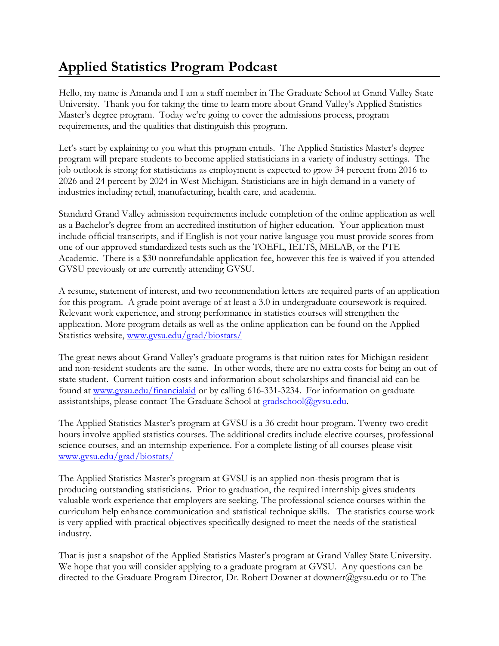## **Applied Statistics Program Podcast**

Hello, my name is Amanda and I am a staff member in The Graduate School at Grand Valley State University. Thank you for taking the time to learn more about Grand Valley's Applied Statistics Master's degree program. Today we're going to cover the admissions process, program requirements, and the qualities that distinguish this program.

Let's start by explaining to you what this program entails. The Applied Statistics Master's degree program will prepare students to become applied statisticians in a variety of industry settings. The job outlook is strong for statisticians as employment is expected to grow 34 percent from 2016 to 2026 and 24 percent by 2024 in West Michigan. Statisticians are in high demand in a variety of industries including retail, manufacturing, health care, and academia.

Standard Grand Valley admission requirements include completion of the online application as well as a Bachelor's degree from an accredited institution of higher education. Your application must include official transcripts, and if English is not your native language you must provide scores from one of our approved standardized tests such as the TOEFL, IELTS, MELAB, or the PTE Academic. There is a \$30 nonrefundable application fee, however this fee is waived if you attended GVSU previously or are currently attending GVSU.

A resume, statement of interest, and two recommendation letters are required parts of an application for this program. A grade point average of at least a 3.0 in undergraduate coursework is required. Relevant work experience, and strong performance in statistics courses will strengthen the application. More program details as well as the online application can be found on the Applied Statistics website, [www.gvsu.edu/grad/biostats/](https://www.gvsu.edu/grad/biostats/)

The great news about Grand Valley's graduate programs is that tuition rates for Michigan resident and non-resident students are the same. In other words, there are no extra costs for being an out of state student. Current tuition costs and information about scholarships and financial aid can be found at [www.gvsu.edu/financialaid](http://www.gvsu.edu/financialaid) or by calling 616-331-3234. For information on graduate assistantships, please contact The Graduate School at [gradschool@gvsu.edu.](mailto:gradschool@gvsu.edu)

The Applied Statistics Master's program at GVSU is a 36 credit hour program. Twenty-two credit hours involve applied statistics courses. The additional credits include elective courses, professional science courses, and an internship experience. For a complete listing of all courses please visit [www.gvsu.edu/grad/biostats/](https://www.gvsu.edu/grad/biostats/)

The Applied Statistics Master's program at GVSU is an applied non-thesis program that is producing outstanding statisticians. Prior to graduation, the required internship gives students valuable work experience that employers are seeking. The professional science courses within the curriculum help enhance communication and statistical technique skills. The statistics course work is very applied with practical objectives specifically designed to meet the needs of the statistical industry.

That is just a snapshot of the Applied Statistics Master's program at Grand Valley State University. We hope that you will consider applying to a graduate program at GVSU. Any questions can be directed to the Graduate Program Director, Dr. Robert Downer at downerr@gvsu.edu or to The